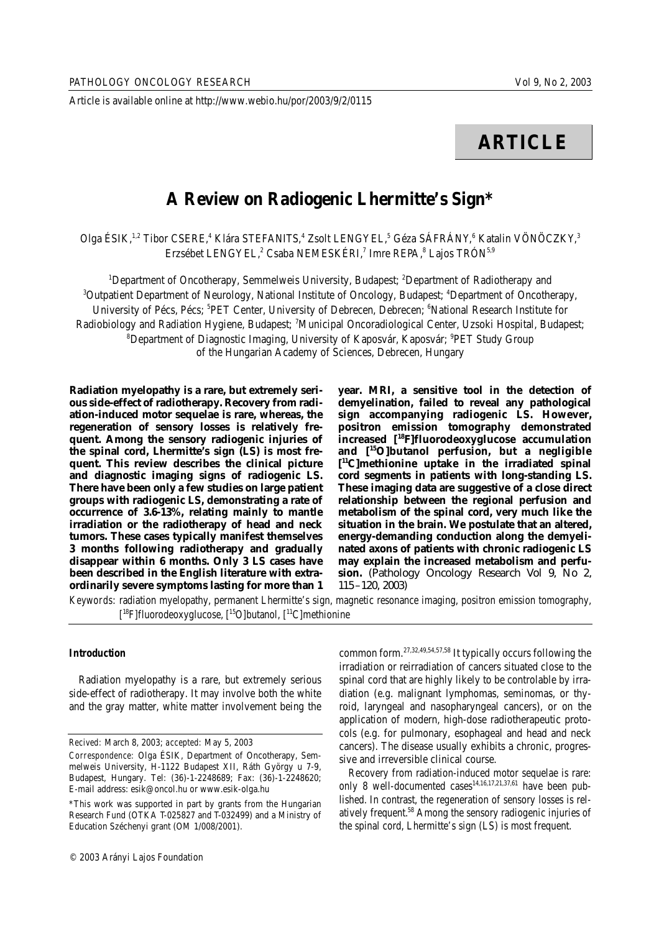Article is available online at http://www.webio.hu/por/2003/9/2/0115

# **ARTICLE**

## **A Review on Radiogenic Lhermitte's Sign\***

Olga ÉSIK,<sup>1,2</sup> Tibor CSERE,<sup>4</sup> Klára STEFANITS,<sup>4</sup> Zsolt LENGYEL,<sup>5</sup> Géza SÁFRÁNY,<sup>6</sup> Katalin VÖNÖCZKY,<sup>3</sup> Erzsébet LENGYEL,<sup>2</sup> Csaba NEMESKÉRI,<sup>7</sup> Imre REPA,<sup>8</sup> Lajos TRÓN<sup>5,9</sup>

<sup>1</sup>Department of Oncotherapy, Semmelweis University, Budapest; <sup>2</sup>Department of Radiotherapy and <sup>3</sup>Outpatient Department of Neurology, National Institute of Oncology, Budapest; <sup>4</sup>Department of Oncotherapy, University of Pécs, Pécs; <sup>5</sup>PET Center, University of Debrecen, Debrecen; <sup>6</sup>National Research Institute for Radiobiology and Radiation Hygiene, Budapest; <sup>7</sup>Municipal Oncoradiological Center, Uzsoki Hospital, Budapest; <sup>8</sup>Department of Diagnostic Imaging, University of Kaposvár, Kaposvár; <sup>9</sup>PET Study Group of the Hungarian Academy of Sciences, Debrecen, Hungary

**Radiation myelopathy is a rare, but extremely serious side-effect of radiotherapy. Recovery from radiation-induced motor sequelae is rare, whereas, the regeneration of sensory losses is relatively frequent. Among the sensory radiogenic injuries of the spinal cord, Lhermitte's sign (LS) is most frequent. This review describes the clinical picture and diagnostic imaging signs of radiogenic LS. There have been only a few studies on large patient groups with radiogenic LS, demonstrating a rate of occurrence of 3.6-13%, relating mainly to mantle irradiation or the radiotherapy of head and neck tumors. These cases typically manifest themselves 3 months following radiotherapy and gradually disappear within 6 months. Only 3 LS cases have been described in the English literature with extraordinarily severe symptoms lasting for more than 1**

**year. MRI, a sensitive tool in the detection of demyelination, failed to reveal any pathological sign accompanying radiogenic LS. However, positron emission tomography demonstrated increased [ <sup>18</sup>F]fluorodeoxyglucose accumulation and [ <sup>15</sup>O]butanol perfusion, but a negligible [ <sup>11</sup>C]methionine uptake in the irradiated spinal cord segments in patients with long-standing LS. These imaging data are suggestive of a close direct relationship between the regional perfusion and metabolism of the spinal cord, very much like the situation in the brain. We postulate that an altered, energy-demanding conduction along the demyelinated axons of patients with chronic radiogenic LS may explain the increased metabolism and perfusion.** (Pathology Oncology Research Vol 9, No 2, 115 –120, 2003)

*Keywords:* radiation myelopathy, permanent Lhermitte's sign, magnetic resonance imaging, positron emission tomography, [<sup>18</sup>F]fluorodeoxyglucose, [<sup>15</sup>O]butanol, [<sup>11</sup>C]methionine

### *Introduction*

Radiation myelopathy is a rare, but extremely serious side-effect of radiotherapy. It may involve both the white and the gray matter, white matter involvement being the

*Recived:* March 8, 2003; *accepted:* May 5, 2003

common form. 27,32,49,54,57,58 It typically occurs following the irradiation or reirradiation of cancers situated close to the spinal cord that are highly likely to be controlable by irradiation (e.g. malignant lymphomas, seminomas, or thyroid, laryngeal and nasopharyngeal cancers), or on the application of modern, high-dose radiotherapeutic protocols (e.g. for pulmonary, esophageal and head and neck cancers). The disease usually exhibits a chronic, progressive and irreversible clinical course.

Recovery from radiation-induced motor sequelae is rare: only 8 well-documented cases<sup>14,16,17,21,37,61</sup> have been published. In contrast, the regeneration of sensory losses is relatively frequent. <sup>58</sup> Among the sensory radiogenic injuries of the spinal cord, Lhermitte's sign (LS) is most frequent.

*Correspondence:* Olga ÉSIK, Department of Oncotherapy, Semmelweis University, H-1122 Budapest XII, Ráth György u 7-9, Budapest, Hungary. Tel: (36)-1-2248689; Fax: (36)-1-2248620; E-mail address: esik@oncol.hu or www.esik-olga.hu

<sup>\*</sup>This work was supported in part by grants from the Hungarian Research Fund (OTKA T-025827 and T-032499) and a Ministry of Education Széchenyi grant (OM 1/008/2001).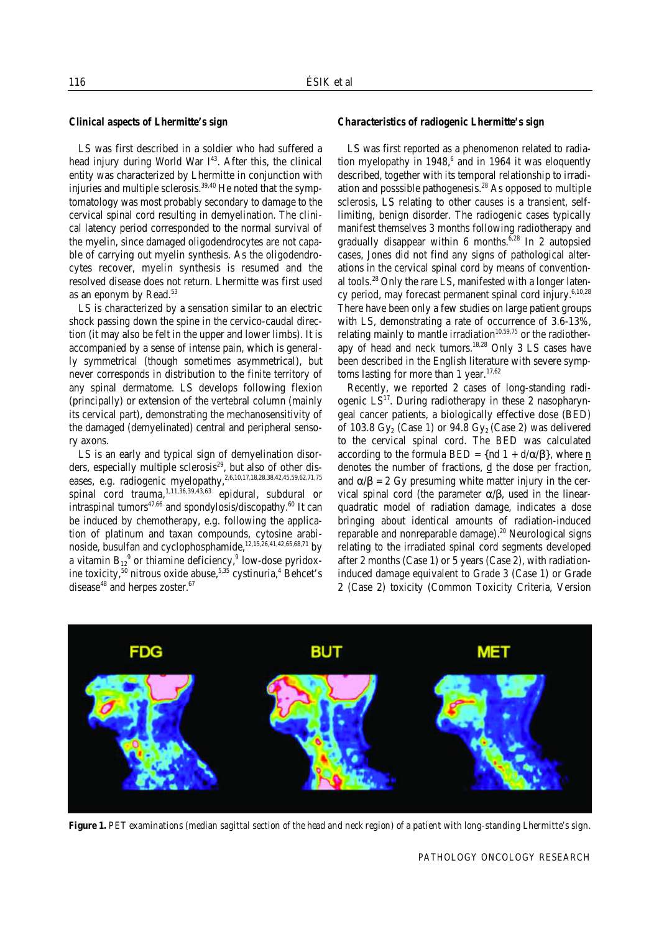#### *Clinical aspects of Lhermitte's sign*

LS was first described in a soldier who had suffered a head injury during World War I<sup>43</sup>. After this, the clinical entity was characterized by Lhermitte in conjunction with injuries and multiple sclerosis.<sup>39,40</sup> He noted that the symptomatology was most probably secondary to damage to the cervical spinal cord resulting in demyelination. The clinical latency period corresponded to the normal survival of the myelin, since damaged oligodendrocytes are not capable of carrying out myelin synthesis. As the oligodendrocytes recover, myelin synthesis is resumed and the resolved disease does not return. Lhermitte was first used as an eponym by Read. 53

LS is characterized by a sensation similar to an electric shock passing down the spine in the cervico-caudal direction (it may also be felt in the upper and lower limbs). It is accompanied by a sense of intense pain, which is generally symmetrical (though sometimes asymmetrical), but never corresponds in distribution to the finite territory of any spinal dermatome. LS develops following flexion (principally) or extension of the vertebral column (mainly its cervical part), demonstrating the mechanosensitivity of the damaged (demyelinated) central and peripheral sensory axons.

LS is an early and typical sign of demyelination disorders, especially multiple sclerosis<sup>29</sup>, but also of other diseases, e.g. radiogenic myelopathy, 2,6,10,17,18,28,38,42,45,59,62,71,75 spinal cord trauma, $^{1,11,36,39,43,63}$  epidural, subdural or intraspinal tumors $^{47,66}$  and spondylosis/discopathy. $^{60}$  It can be induced by chemotherapy, e.g. following the application of platinum and taxan compounds, cytosine arabinoside, busulfan and cyclophosphamide, 12,15,26,41,42,65,68,71 by a vitamin  $\mathrm{B_{12}}^9$  or thiamine deficiency, $^9$  low-dose pyridoxine toxicity, $^{50}$  nitrous oxide abuse, $^{5,35}$  cystinuria, $^4$  Behcet's disease<sup>48</sup> and herpes zoster.<sup>67</sup>

#### *Characteristics of radiogenic Lhermitte's sign*

LS was first reported as a phenomenon related to radiation myelopathy in 1948, 6 and in 1964 it was eloquently described, together with its temporal relationship to irradiation and posssible pathogenesis. <sup>28</sup> As opposed to multiple sclerosis, LS relating to other causes is a transient, selflimiting, benign disorder. The radiogenic cases typically manifest themselves 3 months following radiotherapy and gradually disappear within 6 months. 6,28 In 2 autopsied cases, Jones did not find any signs of pathological alterations in the cervical spinal cord by means of conventional tools.<sup>28</sup> Only the rare LS, manifested with a longer latency period, may forecast permanent spinal cord injury.<sup>6,10,28</sup> There have been only a few studies on large patient groups with LS, demonstrating a rate of occurrence of 3.6-13%, relating mainly to mantle irradiation $^{10,59,75}$  or the radiotherapy of head and neck tumors. 18,28 Only 3 LS cases have been described in the English literature with severe symptoms lasting for more than 1 year.<sup>17,62</sup>

Recently, we reported 2 cases of long-standing radiogenic LS<sup>17</sup>. During radiotherapy in these 2 nasopharyngeal cancer patients, a biologically effective dose (BED) of 103.8 Gy $_{2}$  (Case 1) or 94.8 Gy $_{2}$  (Case 2) was delivered to the cervical spinal cord. The BED was calculated according to the formula BED = {nd 1 + d/ $\alpha$ / $\beta$ }, where <u>n</u> denotes the number of fractions,  $\mathbf d$  the dose per fraction, and  $\alpha/\beta = 2$  Gy presuming white matter injury in the cervical spinal cord (the parameter α/β, used in the linearquadratic model of radiation damage, indicates a dose bringing about identical amounts of radiation-induced reparable and nonreparable damage). <sup>20</sup> Neurological signs relating to the irradiated spinal cord segments developed after 2 months (Case 1) or 5 years (Case 2), with radiationinduced damage equivalent to Grade 3 (Case 1) or Grade 2 (Case 2) toxicity (Common Toxicity Criteria, Version



*Figure 1. PET examinations (median sagittal section of the head and neck region) of a patient with long-standing Lhermitte's sign.*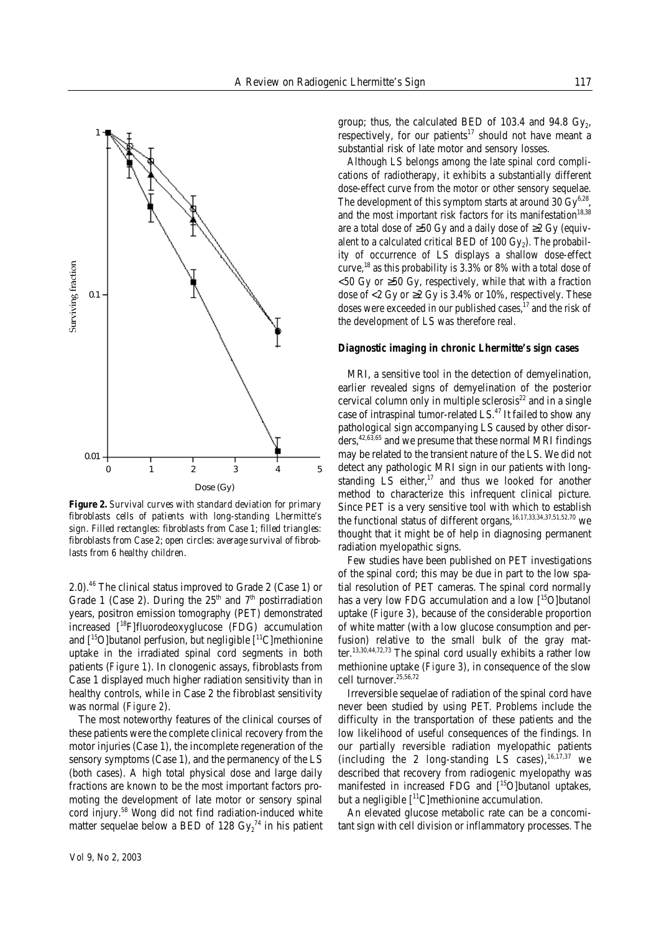

*Figure 2. Survival curves with standard deviation for primary fibroblasts cells of patients with long-standing Lhermitte's sign. Filled rectangles: fibroblasts from Case 1; filled triangles: fibroblasts from Case 2; open circles: average survival of fibroblasts from 6 healthy children.*

2.0). <sup>46</sup> The clinical status improved to Grade 2 (Case 1) or Grade 1 (Case 2). During the  $25<sup>th</sup>$  and  $7<sup>th</sup>$  postirradiation years, positron emission tomography (PET) demonstrated increased [ <sup>18</sup>F]fluorodeoxyglucose (FDG) accumulation and [ <sup>15</sup>O]butanol perfusion, but negligible [ <sup>11</sup>C]methionine uptake in the irradiated spinal cord segments in both patients (*Figure 1*). In clonogenic assays, fibroblasts from Case 1 displayed much higher radiation sensitivity than in healthy controls, while in Case 2 the fibroblast sensitivity was normal (*Figure 2*).

The most noteworthy features of the clinical courses of these patients were the complete clinical recovery from the motor injuries (Case 1), the incomplete regeneration of the sensory symptoms (Case 1), and the permanency of the LS (both cases). A high total physical dose and large daily fractions are known to be the most important factors promoting the development of late motor or sensory spinal cord injury. <sup>58</sup> Wong did not find radiation-induced white matter sequelae below a BED of 128  $\mathrm{Gy_{2}}^{\mathrm{74}}$  in his patient

group; thus, the calculated BED of 103.4 and 94.8  $\mathrm{Gy}_2$ , respectively, for our patients<sup>17</sup> should not have meant a substantial risk of late motor and sensory losses.

Although LS belongs among the late spinal cord complications of radiotherapy, it exhibits a substantially different dose-effect curve from the motor or other sensory sequelae. The development of this symptom starts at around 30  $\mathrm{Gy}^{6,28}$ , and the most important risk factors for its manifestation<sup>18,38</sup> are a total dose of  $\geq 50$  Gy and a daily dose of  $\geq 2$  Gy (equivalent to a calculated critical BED of 100 Gy $_{\rm 2}$ ). The probability of occurrence of LS displays a shallow dose-effect curve, 18 as this probability is 3.3% or 8% with a total dose of  $<$  50 Gy or  $\geq$  50 Gy, respectively, while that with a fraction dose of  $<$  2 Gy or  $\geq$  2 Gy is 3.4% or 10%, respectively. These doses were exceeded in our published cases, 17 and the risk of the development of LS was therefore real.

#### *Diagnostic imaging in chronic Lhermitte's sign cases*

MRI, a sensitive tool in the detection of demyelination, earlier revealed signs of demyelination of the posterior cervical column only in multiple sclerosis 22 and in a single case of intraspinal tumor-related LS.<sup>47</sup> It failed to show any pathological sign accompanying LS caused by other disorders, 42,63,65 and we presume that these normal MRI findings may be related to the transient nature of the LS. We did not detect any pathologic MRI sign in our patients with longstanding LS either, 17 and thus we looked for another method to characterize this infrequent clinical picture. Since PET is a very sensitive tool with which to establish the functional status of different organs, $^{16,17,33,34,37,51,52,70}$  we thought that it might be of help in diagnosing permanent radiation myelopathic signs.

Few studies have been published on PET investigations of the spinal cord; this may be due in part to the low spatial resolution of PET cameras. The spinal cord normally has a very low FDG accumulation and a low [ <sup>15</sup>O]butanol uptake (*Figure 3*), because of the considerable proportion of white matter (with a low glucose consumption and perfusion) relative to the small bulk of the gray matter.<sup>13,30,44,72,73</sup> The spinal cord usually exhibits a rather low methionine uptake (*Figure 3*), in consequence of the slow cell turnover. 25,56,72

Irreversible sequelae of radiation of the spinal cord have never been studied by using PET. Problems include the difficulty in the transportation of these patients and the low likelihood of useful consequences of the findings. In our partially reversible radiation myelopathic patients (including the 2 long-standing LS cases),  $16,17,37$  we described that recovery from radiogenic myelopathy was manifested in increased FDG and [ <sup>15</sup>O]butanol uptakes, but a negligible  $[$ <sup>11</sup>C]methionine accumulation.

An elevated glucose metabolic rate can be a concomitant sign with cell division or inflammatory processes. The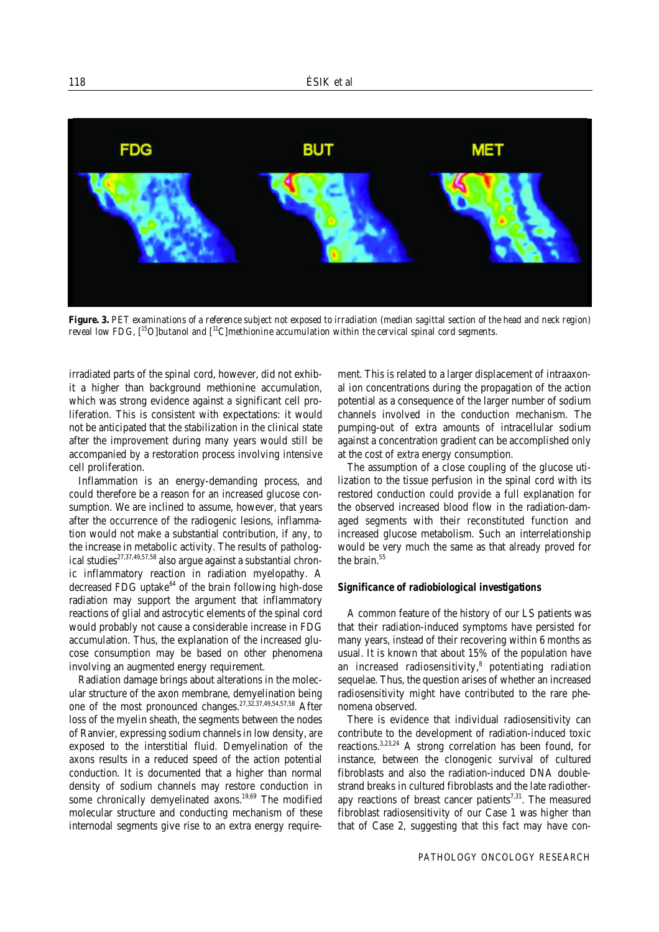

*Figure. 3. PET examinations of a reference subject not exposed to irradiation (median sagittal section of the head and neck region) reveal low FDG, [ <sup>15</sup>O]butanol and [ <sup>11</sup>C]methionine accumulation within the cervical spinal cord segments.*

irradiated parts of the spinal cord, however, did not exhibit a higher than background methionine accumulation, which was strong evidence against a significant cell proliferation. This is consistent with expectations: it would not be anticipated that the stabilization in the clinical state after the improvement during many years would still be accompanied by a restoration process involving intensive cell proliferation.

Inflammation is an energy-demanding process, and could therefore be a reason for an increased glucose consumption. We are inclined to assume, however, that years after the occurrence of the radiogenic lesions, inflammation would not make a substantial contribution, if any, to the increase in metabolic activity. The results of pathological studies<sup>27,37,49,57,58</sup> also argue against a substantial chronic inflammatory reaction in radiation myelopathy. A decreased FDG uptake<sup>64</sup> of the brain following high-dose radiation may support the argument that inflammatory reactions of glial and astrocytic elements of the spinal cord would probably not cause a considerable increase in FDG accumulation. Thus, the explanation of the increased glucose consumption may be based on other phenomena involving an augmented energy requirement.

Radiation damage brings about alterations in the molecular structure of the axon membrane, demyelination being one of the most pronounced changes.<sup>27,32,37,49,54,57,58</sup> After loss of the myelin sheath, the segments between the nodes of Ranvier, expressing sodium channels in low density, are exposed to the interstitial fluid. Demyelination of the axons results in a reduced speed of the action potential conduction. It is documented that a higher than normal density of sodium channels may restore conduction in some chronically demyelinated axons. 19,69 The modified molecular structure and conducting mechanism of these internodal segments give rise to an extra energy requirement. This is related to a larger displacement of intraaxonal ion concentrations during the propagation of the action potential as a consequence of the larger number of sodium channels involved in the conduction mechanism. The pumping-out of extra amounts of intracellular sodium against a concentration gradient can be accomplished only at the cost of extra energy consumption.

The assumption of a close coupling of the glucose utilization to the tissue perfusion in the spinal cord with its restored conduction could provide a full explanation for the observed increased blood flow in the radiation-damaged segments with their reconstituted function and increased glucose metabolism. Such an interrelationship would be very much the same as that already proved for the brain. 55

#### *Significance of radiobiological investigations*

A common feature of the history of our LS patients was that their radiation-induced symptoms have persisted for many years, instead of their recovering within 6 months as usual. It is known that about 15% of the population have an increased radiosensitivity, 8 potentiating radiation sequelae. Thus, the question arises of whether an increased radiosensitivity might have contributed to the rare phenomena observed.

There is evidence that individual radiosensitivity can contribute to the development of radiation-induced toxic reactions.<sup>3,23,24</sup> A strong correlation has been found, for instance, between the clonogenic survival of cultured fibroblasts and also the radiation-induced DNA doublestrand breaks in cultured fibroblasts and the late radiotherapy reactions of breast cancer patients<sup>7,31</sup>. The measured fibroblast radiosensitivity of our Case 1 was higher than that of Case 2, suggesting that this fact may have con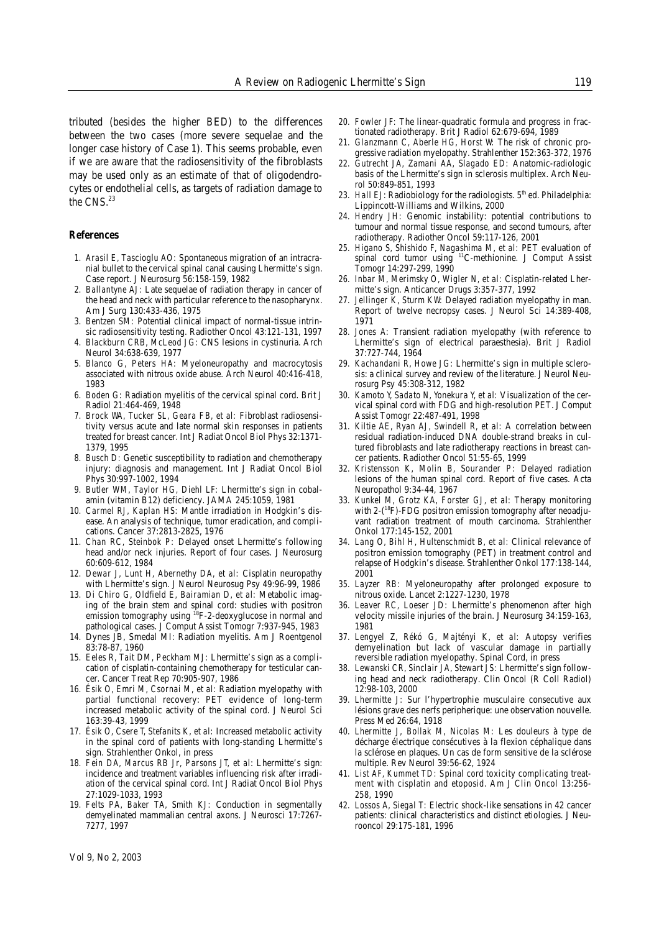tributed (besides the higher BED) to the differences between the two cases (more severe sequelae and the longer case history of Case 1). This seems probable, even if we are aware that the radiosensitivity of the fibroblasts may be used only as an estimate of that of oligodendrocytes or endothelial cells, as targets of radiation damage to the CNS. 23

#### *References*

- 1. *Arasil E, Tascioglu AO:* Spontaneous migration of an intracranial bullet to the cervical spinal canal causing Lhermitte's sign. Case report. J Neurosurg 56:158-159, 1982
- 2. *Ballantyne AJ:* Late sequelae of radiation therapy in cancer of the head and neck with particular reference to the nasopharynx. Am J Surg 130:433-436, 1975
- 3. *Bentzen SM:* Potential clinical impact of normal-tissue intrinsic radiosensitivity testing. Radiother Oncol 43:121-131, 1997
- 4. *Blackburn CRB, McLeod JG:* CNS lesions in cystinuria. Arch Neurol 34:638-639, 1977
- 5. *Blanco G, Peters HA:* Myeloneuropathy and macrocytosis associated with nitrous oxide abuse. Arch Neurol 40:416-418, 1983
- 6. *Boden G:* Radiation myelitis of the cervical spinal cord. Brit J Radiol 21:464-469, 1948
- 7. *Brock WA, Tucker SL, Geara FB, et al:* Fibroblast radiosensitivity versus acute and late normal skin responses in patients treated for breast cancer. Int J Radiat Oncol Biol Phys 32:1371- 1379, 1995
- 8. *Busch D:* Genetic susceptibility to radiation and chemotherapy injury: diagnosis and management. Int J Radiat Oncol Biol Phys 30:997-1002, 1994
- 9. *Butler WM, Taylor HG, Diehl LF:* Lhermitte's sign in cobalamin (vitamin B12) deficiency. JAMA 245:1059, 1981
- 10. *Carmel RJ, Kaplan HS:* Mantle irradiation in Hodgkin's disease. An analysis of technique, tumor eradication, and complications. Cancer 37:2813-2825, 1976
- 11. *Chan RC, Steinbok P:* Delayed onset Lhermitte's following head and/or neck injuries. Report of four cases. J Neurosurg 60:609-612, 1984
- 12. *Dewar J, Lunt H, Abernethy DA, et al:* Cisplatin neuropathy with Lhermitte's sign. J Neurol Neurosug Psy 49:96-99, 1986
- 13. *Di Chiro G, Oldfield E, Bairamian D, et al:* Metabolic imaging of the brain stem and spinal cord: studies with positron emission tomography using <sup>18</sup>F-2-deoxyglucose in normal and pathological cases. J Comput Assist Tomogr 7:937-945, 1983
- 14. Dynes JB, Smedal MI: Radiation myelitis. Am J Roentgenol 83:78-87, 1960
- 15. *Eeles R, Tait DM, Peckham MJ:* Lhermitte's sign as a complication of cisplatin-containing chemotherapy for testicular cancer. Cancer Treat Rep 70:905-907, 1986
- 16. *Ésik O, Emri M, Csornai M, et al:* Radiation myelopathy with partial functional recovery: PET evidence of long-term increased metabolic activity of the spinal cord. J Neurol Sci 163:39-43, 1999
- 17. *Ésik O, Csere T, Stefanits K, et al:* Increased metabolic activity in the spinal cord of patients with long-standing Lhermitte's sign. Strahlenther Onkol, in press
- 18. *Fein DA, Marcus RB Jr, Parsons JT, et al*: Lhermitte's sign: incidence and treatment variables influencing risk after irradiation of the cervical spinal cord. Int J Radiat Oncol Biol Phys 27:1029-1033, 1993
- 19. *Felts PA, Baker TA, Smith KJ:* Conduction in segmentally demyelinated mammalian central axons. J Neurosci 17:7267- 7277, 1997
- 20. *Fowler JF:* The linear-quadratic formula and progress in fractionated radiotherapy. Brit J Radiol 62:679-694, 1989
- 21. *Glanzmann C, Aberle HG, Horst W:* The risk of chronic progressive radiation myelopathy. Strahlenther 152:363-372, 1976
- 22. *Gutrecht JA, Zamani AA, Slagado ED:* Anatomic-radiologic basis of the Lhermitte's sign in sclerosis multiplex. Arch Neurol 50:849-851, 1993
- 23. *Hall EJ*: Radiobiology for the radiologists. 5<sup>th</sup> ed. Philadelphia: Lippincott-Williams and Wilkins, 2000
- 24. *Hendry JH:* Genomic instability: potential contributions to tumour and normal tissue response, and second tumours, after radiotherapy. Radiother Oncol 59:117-126, 2001
- 25. *Higano S, Shishido F, Nagashima M, et al:* PET evaluation of spinal cord tumor using <sup>11</sup>C-methionine. J Comput Assist Tomogr 14:297-299, 1990
- 26. *Inbar M, Merimsky O, Wigler N, et al:* Cisplatin-related Lhermitte's sign. Anticancer Drugs 3:357-377, 1992
- 27. *Jellinger K, Sturm KW:* Delayed radiation myelopathy in man. Report of twelve necropsy cases. J Neurol Sci 14:389-408, 1971
- 28. *Jones A:* Transient radiation myelopathy (with reference to Lhermitte's sign of electrical paraesthesia). Brit J Radiol 37:727-744, 1964
- 29. *Kachandani R, Howe JG:* Lhermitte's sign in multiple sclerosis: a clinical survey and review of the literature. J Neurol Neurosurg Psy 45:308-312, 1982
- 30. *Kamoto Y, Sadato N, Yonekura Y, et al:* Visualization of the cervical spinal cord with FDG and high-resolution PET. J Comput Assist Tomogr 22:487-491, 1998
- 31. *Kiltie AE, Ryan AJ, Swindell R, et al:* A correlation between residual radiation-induced DNA double-strand breaks in cultured fibroblasts and late radiotherapy reactions in breast cancer patients. Radiother Oncol 51:55-65, 1999
- 32. *Kristensson K, Molin B, Sourander P:* Delayed radiation lesions of the human spinal cord. Report of five cases. Acta Neuropathol 9:34-44, 1967
- 33. *Kunkel M, Grotz KA, Forster GJ, et al:* Therapy monitoring with 2-(<sup>18</sup>F)-FDG positron emission tomography after neoadjuvant radiation treatment of mouth carcinoma. Strahlenther Onkol 177:145-152, 2001
- 34. *Lang O, Bihl H, Hultenschmidt B, et al:* Clinical relevance of positron emission tomography (PET) in treatment control and relapse of Hodgkin's disease. Strahlenther Onkol 177:138-144, 2001
- 35. *Layzer RB:* Myeloneuropathy after prolonged exposure to nitrous oxide. Lancet 2:1227-1230, 1978
- 36. *Leaver RC, Loeser JD:* Lhermitte's phenomenon after high velocity missile injuries of the brain. J Neurosurg 34:159-163, 1981
- 37. *Lengyel Z, Rékó G, Majtényi K, et al:* Autopsy verifies demyelination but lack of vascular damage in partially reversible radiation myelopathy. Spinal Cord, in press
- 38. *Lewanski CR, Sinclair JA, Stewart JS:* Lhermitte's sign following head and neck radiotherapy. Clin Oncol (R Coll Radiol) 12:98-103, 2000
- 39. *Lhermitte J:* Sur l'hypertrophie musculaire consecutive aux lésions grave des nerfs peripherique: une observation nouvelle. Press Med 26:64, 1918
- 40. *Lhermitte J, Bollak M, Nicolas M:* Les douleurs à type de décharge électrique consécutives à la flexion céphalique dans la sclérose en plaques. Un cas de form sensitive de la sclérose multiple. Rev Neurol 39:56-62, 1924
- 41. *List AF, Kummet TD:* Spinal cord toxicity complicating treatment with cisplatin and etoposid. Am J Clin Oncol 13:256- 258, 1990
- 42. *Lossos A, Siegal T:* Electric shock-like sensations in 42 cancer patients: clinical characteristics and distinct etiologies. J Neurooncol 29:175-181, 1996